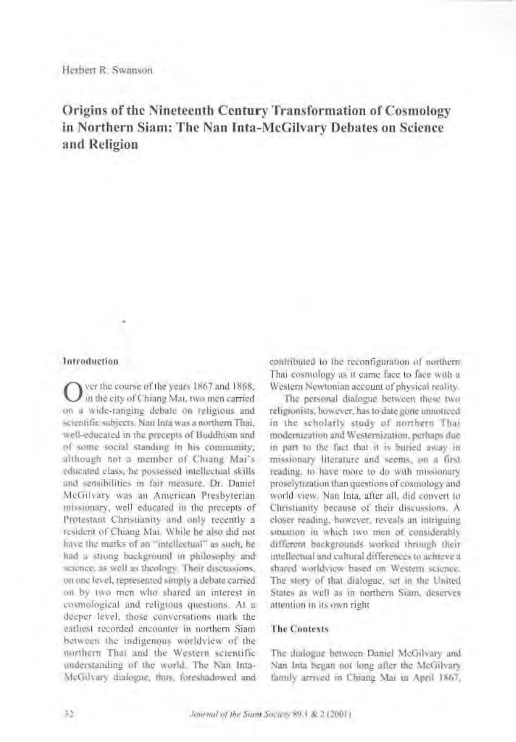# Origins of the Nineteenth Century Transformation of Cosmology in Northern Siam: The Nan Inta-McGilvary Debates on Science and Religion

### **Introduction**

ver the course of the years 1867 and 1868, in the city of Chiang Mai, two men carried on a wide-ranging debate on religious and scientific subjects. Nan Inta was a northern Thai, well-educated in the precepts of Buddhism and of some social standing in his community; although not a member of Chiang Mai's educated class, he possessed intellectual skills and sensibilities in fair measure. Dr. Daniel McGilvary was an American Presbyterian missionary, well educated in the precepts of Protestant Christianity and only recently a resident of Chiang Mai. While he also did not have the marks of an "intellectual" as such, he had a strong background in philosophy and science, as well as theology. Their discussions, on one level, represented simply a debate carried on by two men who shared an interest in cosmological and religious questions. At a deeper level, those conversations mark the earliest recorded encounter in northern Siam between the indigenous worldview of the morthern Thai and the Western scientific understanding of the world. The Nan Inta-McGilvary dialogue, thus, foreshadowed and contributed to the reconfiguration of northern Thai cosmology as it came face to face with a Western Newtonian account of physical reality.

The personal dialogue between these two religionists, however, has to date gone unnoticed in the scholarly study of northern Thai modernization and Westernization, perhaps due in part to the fact that it is buried away in missionary literature and seems, on a first reading, to have more to do with missionary proselytization than questions of cosmology and world view. Nan Inta, after all, did convert to Christianity because of their discussions. A closer reading, however, reveals an intriguing situation in which two men of considerably different backgrounds worked through their intellectual and cultural differences to achieve a shared worldview based on Western science. The story of that dialogue, set in the United States as well as in northern Siam, deserves attention in its own right

# **The Contexts**

The dialogue between Daniel McGilvary and Nan Inta began not long after the McGilvary family arrived in Chiang Mai in April 1867,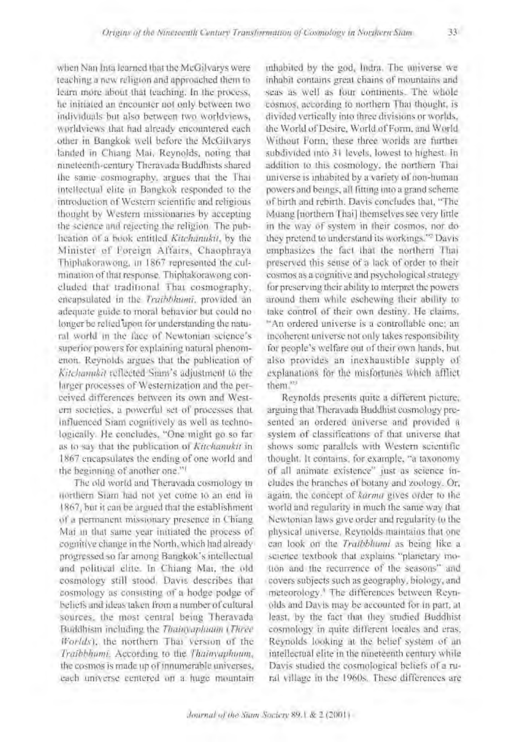when Nan Inta learned that the McGilvarys were teaching a new religion and approached them to learn more about that teaching. In the process, he initiated an encounter not only between two individuals but also between two worldviews, worldviews that had already encountered each other in Bangkok well before the McGilvarys landed in Chiang Mai, Revnolds, noting that nineteenth-century Theravada Buddhists shared the same cosmography, argues that the That intellectual elite in Bangkok responded to the introduction of Western scientific and religious thought by Western missionaries by accepting the science and rejecting the religion. The pubheation of a book entitled Kitchanukit, by the Minister of Foreign Affairs, Chaophraya Thiphakorawong, in 1867 represented the culmination of that response. Thiphakorawong concluded that traditional That cosmography, eneapsulated in the Traibbhumi, provided an adequate guide to moral behavior but could no longer be relied upon for understanding the natural world in the face of Newtonian science's superior powers for explaining natural phenomenon. Reynolds argues that the publication of Kitchannkil reflected Siam's adjustment to the hireer processes of Westernization and the perceived differences between its own and Western societies, a powerful set of processes that influenced Sram cognitively as well as technologically. He concludes, "One might go so far as to say that the publication of Kitchanukit in 1867 encapsulates the ending of one world and the beginning of another one."<sup>1</sup>

The old world and Theravada cosmology in northern Siam had not yet come to an end in 1867, but it can be argued that the establishment of a permanent missionary presence in Chiang Mai in that same year initiated the process of countilve change in the North, which had already progressed so far among Bangkok's intellectual and political clite. In Chiang Mai, the old cosmology still stood. Davis describes that cosmology as consisting of a hodge podge of beliefs and ideas taken from a number of cultural sources, the most central being Theravada Buddhism including the Thainvapluam (Three Worlds), the northern Thai version of the Traibhhumi. According to the Thainvaphoum, the cosmos is made up of innumerable universes, each universe centered on a huge mountain

inhabited by the god, Indra. The universe we inhabit contains great chains of mountains and seas as well as four continents. The whole cosmos, according to northern That thought, is divided vertically into three divisions or worlds. the World of Desire, World of Form, and World Without Form; these three worlds are further subdivided into 31 levels, lowest to highest. In addition to this cosmology, the northern Thai universe is inhabited by a variety of non-human powers and beings, all fitting into a grand scheme. of birth and rebirth. Davis concludes that, "The Muang [northern Thai] themselves see very little in the way of system in their cosmos, nor dothey pretend to understand its workings.<sup>42</sup> Davis emphasizes the fact that the northern Thai preserved this sense of a lack of order to their cosmos as a cognitive and psychological strategy for preserving their ability to interpret the powers around them while eschewing their ability to take control of their own destiny. He claims, "An ordered universe is a controllable one: an incoherent universe not only takes responsibility for people's welfare out of their own hands, but also provides an inexhaustible supply of explanations for the misfortunes which afflict them<sup>133</sup>

Reynolds presents quite a different picture, arguing that Theravada Buddhist cosmology presented an ordered universe and provided a system of classifications of that universe that shows some parallels with Western scientific thought. It contains, for example, "a taxonomy of all animate existence" just as science includes the branches of botany and zoology. Or, again, the concept of karma gives order to the world and regularity in much the same way that Newtonian laws give order and regularity to the physical universe. Reynolds maintains that one can look on the Traibbhumi as being like a science textbook that explains "planetary motion and the recurrence of the seasons" and covers subjects such as geography, biology, and meteorology.<sup>1</sup> The differences between Reynolds and Davis may be accounted for in part, at least, by the fact that they studied Buddhist cosmology in quite different locales and eras. Reynolds looking at the behef system of an intellectual elite in the nineteenth century while Davis studied the cosmological beliefs of a rural village in the 1960s. These differences are

33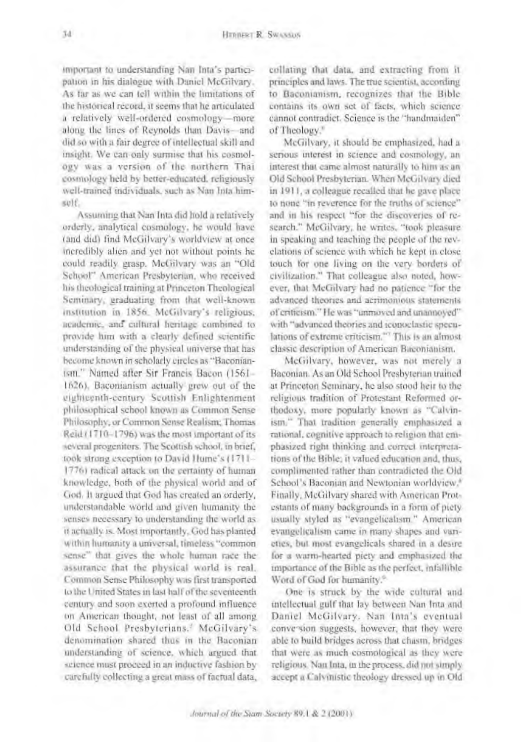important to understanding Nan Inta's participation in his dialogue with Daniel McGilvary. As far as we can tell within the limitations of the historical record, it seems that he articulated a relatively well-ordered cosmology-more along the lines of Reynolds than Davis- and did so with a fair degree of intellectual skill and insight. We can only surmise that his cosmology was a version of the northern Thai cosmology held by better-educated, religiously well-trained individuals, such as Nan Inta himsolf.

Assuming that Nan Inta did hold a relatively orderly, analytical cosmology, he would have (and did) find McGilvary's worldview at once incredibly alien and yet not without points he could readily grasp. McGilvary was an "Old School" American Presbyterian, who received his theological training at Princeton Theological Seminary, graduating from that well-known institution in 1856. McGilvary's religious, neadernic, and cultural heritage combined to provide him with a clearly defined scientific understanding of the physical universe that has become known in scholarly circles as "Baconianism." Named after Sir Francis Bacon (1561-1626). Baconianism actually grew out of the eighteenth-century Scottish Enlightenment philosophical school known as Common Sense Philosophy, or Common Sense Realism; Thomas Reid (1710-1796) was the most important of its several progenitors. The Scottish school, in brief, took strong exception to David Hume's (1711-1776) radical attack on the certainty of human knowledge, both of the physical world and of God. It argued that God has created an orderly, understandable world and given humanity the senses necessary to understanding the world as it actually is. Most importantly, God has planted within humanity a universal, timeless "common sense" that gives the whole human race the assurance that the physical world is real. Common Sense Philosophy was first transported to the United States in last half of the seventeenth century and soon exerted a profound influence on American thought, not least of all among Old School Presbyterians.<sup>3</sup> McGilvary's denomination shared thus in the Baconian understanding of science, which argued that science must proceed in an inductive fashion by carefully collecting a great mass of factual data,

collating that data, and extracting from it principles and laws. The true scientist, according to Baconianism, recognizes that the Bible contains its own set of facts, which science cannot contradict. Science is the "handmaiden" of Theology."

McGilvary, it should be emphasized, had a serious interest in science and cosmology, an interest that came almost naturally to him as an Old School Presbyterian. When McGilvary died in 1911, a colleague recalled that he gave place to none "in reverence for the truths of science" and in his respect "for the discoveries of research." McGilvary, he writes, "took pleasure in speaking and teaching the people of the revelations of science with which he kept in close touch for one living on the very borders of civilization." That colleague also noted, however, that McGilvary had no patience "for the advanced theories and acrimonious statements of criticism." He was "unmoved and unannoyed" with "advanced theories and reonoclastic speculations of extreme eriticism." This is an almost classic description of American Baconianism.

McGilvary, however, was not merely a Baconian. As an Old School Presbyterian trained at Princeton Seminary, he also stood heir to the religious tradition of Protestant Reformed orthodoxy, more popularly known as "Calvinism." That tradition generally emphasized a rational, cognitive approach to religion that emphasized right thinking and correct interpretations of the Bible; it valued education and, thus, complimented rather than contradicted the Old School's Baconian and Newtonian worldview.<sup>8</sup> Finally, McGilvary shared with American Protestants of many backgrounds in a form of piety. usually styled as "evangelicalism." American evangelicalism came in many shapes and vanettes, but most evangelicals shared in a desire for a warm-hearted picty and emphasized the importance of the Bible as the perfect, infallible Word of God for humanity.<sup>®</sup>

One is struck by the wide cultural and intellectual gulf that lay between Nan Inta and Daniel McGilvary. Nan Inta's eventual conversion suggests, however, that they were able to build bridges across that chasm, bridges that were as much cosmological as they were religious. Nan Inta, in the process, did not simply accept a Calymistic theology dressed up in Old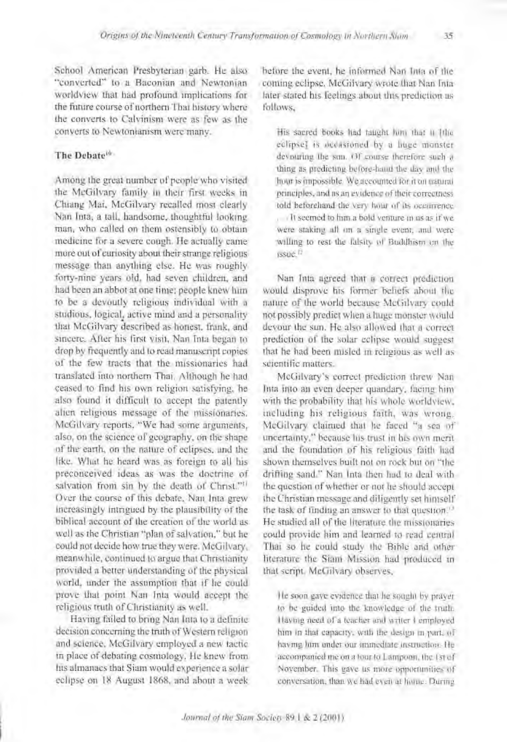School American Presbyterian garb. He also "converted" to a Baconian and Newtonian worldview that had profound implications for the future course of northern Thai history where the converts to Calvinism were as few as the converts to Newtonianism were many.

# The Debate<sup>16</sup>

Among the great number of people who visited the McGilvary family in their first weeks in Chiang Mai, McGilvary recalled most clearly Nan Inta, a tall, handsome, thoughtful looking man, who called on them ostensibly to obtain medicine for a severe cough. He actually came more out of curiosity about their strange religious message than anything else. He was roughly forty-nine years old, had seven children, and had been an abbot at one time; people knew him to be a devoutly religious individual with a studious, logical, active mind and a personality that McGilvary described as honest, frank, and sincere. After his first visit, Nan Inta began to drop by frequently and to read manuscript copies. of the few tracts that the missionaries had translated into northern Thai. Although he had ceased to find his own religion satisfying, he also found it difficult to accept the patently alien religious message of the missionaries. McGilvary reports, "We had some arguments, also, on the science of geography, on the shape of the earth, on the nature of eclipses, and the like. What he heard was as foreign to all his preconceived ideas as was the doctrine of salvation from sin by the death of Christ."<sup>11</sup> Over the course of this debate. Nan Inta grew increasingly intrigued by the plausibility of the biblical account of the creation of the world as well as the Christian "plan of salvation," but he could not decide how true they were. McGilvary, meanwhile, continued to argue that Christianity provided a better understanding of the physical world, under the assumption that if he could prove that point Nan Inta would accept the religious truth of Christianity as well.

Having failed to bring Nan Inta to a definite decision concerning the truth of Western religion and science. McGilvary employed a new tactic in place of debating cosmology. He knew from his almanacs that Siam would experience a solar eclipse on 18 August 1868, and about a week before the event, he informed Nan Inta of the coming eclipse. McGilvary wrote that Nan Intalater stated his feelings about this prediction as follows.

His sacred books had taught him that it [the eclipse) is decasioned by a linee monster devisuring the sun, Of course therefore such a thing as predicting before-hand the day and the hour is impossible. We accounted for it on natural principles, and as an evidence of their correctness told beforehand the very hour of its occurrence. It seemed to fum a bold venture in us as if we were staking all on a single event, and were willing to rest the falsity of Buddhism on the issue li

Nan Inta agreed that a correct prediction would disprove his former beliefs about the nature of the world because McGilvary could not possibly predict when a huge monster would devour the sun. He also allowed that a correct prediction of the solar celipse would suggest that he had been misled in religious as well as scientific matters.

McGilvary's correct prediction threw Nan Inta into an even deeper quandary, facing him with the probability that his whole worldview. including his religious faith, was wrong. McGilvary claimed that he faced "a sea of uncertainty," because his trust in his own meritand the foundation of his religious faith had shown themselves built not on rock but on "the drifting sand." Nan Inta then had to deal with the question of whether or not he should accept the Christian message and diligently set himself the task of finding an answer to that question.<sup>13</sup> He studied all of the literature the missionaries could provide him and learned to read central That so he could study the Bible and other literature the Siam Mission had produced in that seript. McGilvary observes,

He soon gave evidence that he sought by prayer to be guided into the knowledge of the truth. Having need of a teacher and writer I employed him in that capacity, with the design in part, of having him under our immediate instruction. He accompanied me on a tour to Lamponn, the 1st of November. This gave us more opportunities of conversation, than we had even at home. During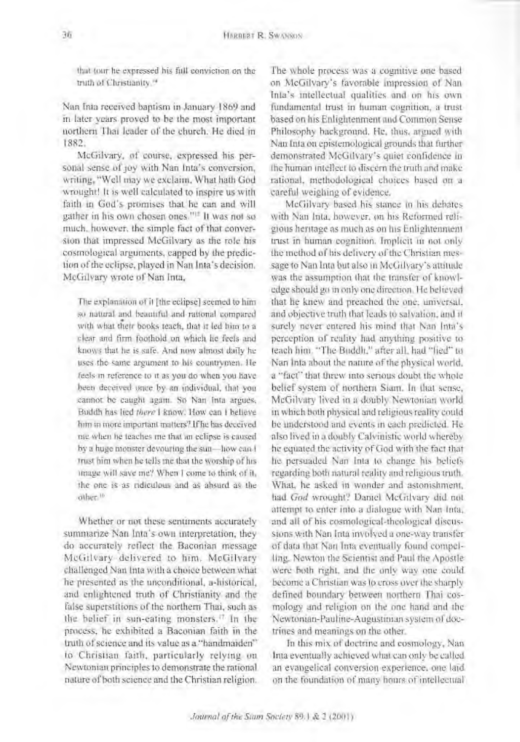that tour he expressed his full conviction on the truth of Christianity.<sup>14</sup>

Nan Inta received bantism in January 1869 and in later vears proved to be the most important northern Thai leader of the church. He died in 1882.

McGilvary, of course, expressed his personal sense of toy with Nan Inta's conversion. writing, "Well may we exclaim. What hath God wrought! It is well calculated to inspire us with faith in God's promises that he can and will gather in his own chosen ones."<sup>If</sup> It was not so much, however, the simple fact of that conversion that impressed McGilvary as the role his cosmological arguments, capped by the prediction of the eclipse, played in Nan Inta's decision. McGilvary wrote of Nan Inta,

The explanation of it [the eclipse] seemed to him so natural and beautiful and rational compared with what their books teach, that it led him to a clear and firm foothold on which he feels and knows that he is safe. And now almost daily he uses the same argument to his countrymen. He feels in reference to it as you do when you have been deceived once by an individual, that you cannot be caught again. So Nan Inta argues, Buddh has lied there I know. How can I believe him in more important matters? If he has deceived me when he teaches me that an eclipse is caused by a huge monster devouring the sun-how can I trust him when he tells me that the worship of his image will save me? When I come to think of it, the one is as ridiculous and as absurd as the other.<sup>11</sup>

Whether or not these sentiments accurately summarize Nan Inta's own interpretation, they do accurately reflect the Baconian message McGilvary delivered to him. McGilvary challenged Nan Inta with a choice between what he presented as the unconditional, a-historical, and enlightened truth of Christianity and the false superstitions of the northern Thai, such as the helief in sun-eating monsters.<sup>17</sup> In the process, he exhibited a Baconian faith in the truth of science and its value as a "handmaiden" to Christian faith, particularly relying on Newtonian principles to demonstrate the rational nature of both science and the Christian religion. The whole process was a cognitive one based on McGilvary's favorable impression of Nan Inla's intellectual qualities and on his own fundamental trust in human cognition, a trustbased on his Enlightenment and Common Sense Philosophy background. He, thus, argued with Nan Inta on epistemological grounds that further demonstrated McGilvary's quiet confidence in the human intellect to discern the truth and make rational, methodological choices based on a careful weighing of evidence.

McGilvary based his stance in his debates with Nan Inta, however, on his Reformed religious heritage as much as on his Enlightenment trust in human cognition. Implicit in not only the method of his delivery of the Christian message to Nan Inta but also in McGilvary's attitude was the assumption that the transfer of knowledge should go in only one direction. He believed that he knew and preached the one, universal. and objective truth that leads to salvation, and it surely never entered his mind that Nan Inta's perception of reality had anything positive to teach him. "The Buddh," after all, had "fied" to Nan inta about the nature of the physical world. a "fact" that threw into serious doubt the whole belief system of northern Siam. In that sense, McGilvary lived in a doubly Newtonian world in which both physical and religious reality could be understood and events in each predicted. He also lived in a doubly Calvinistic world whereby he equated the activity of God with the fact that he persuaded Nan Inta to change his beliefs regarding both natural reality and religious truth. What, he asked in wonder and astonishment, had God wrought? Daniel McGilvary did not attempt to enter into a dialogue with Nan Inta, and all of his cosmological-theological discussions with Nan Inta involved a one-way transfer of data that Nan Inta eventually found compelling. Newton the Scientist and Paul the Apostle were both right, and the only way one could become a Christian was to cross over the sharply defined boundary between northern Thai cosmology and religion on the one hand and the Newtonian-Pauline-Augustinian system of doctrines and meanings on the other.

In this mix of doctrine and cosmology, Nan-Inta eventually achieved what can only be called an evangelical conversion experience, one laid on the foundation of many hours of intellectual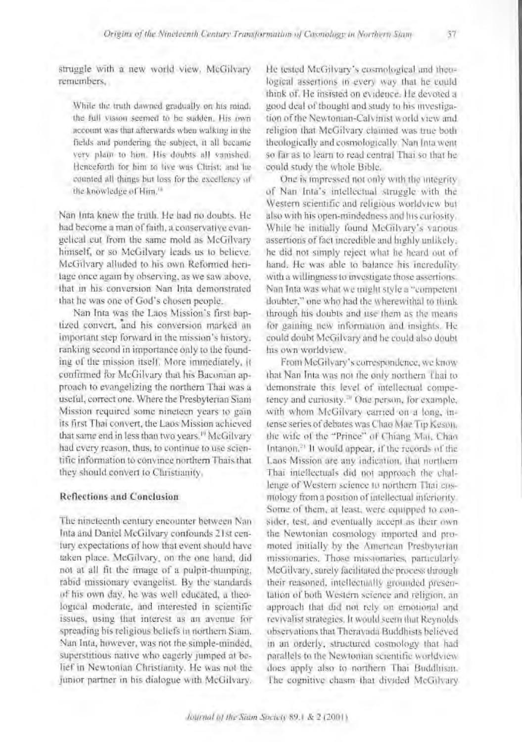struggle with a new world view. McGilvary, remembers.

While the truth dawned gradually on his mind. the full vision seemed to be sudden. His own account was that afterwards when walking in the fields and pondering the subject, it all became very plain to him. His doubts all vanished. Herceforth for him to live was Clirist: and he counted all things but loss for the excellency of the knowledge of Him.<sup>18</sup>

Nan Inta knew the truth. He had no doubts, He had become a man of faith, a conservative evangelical cut from the same mold as McGilvary himself, or so McGilvary leads us to believe. McGilvary alluded to his own Reformed herilage once again by observing, as we saw above. that in his conversion Nan Inta demonstrated that he was one of God's chosen people.

Nan Inta was the Laos Mission's first bantized convert, and his conversion marked an important step forward in the mission's history. ranking second in importance only to the founding of the mission itself. More immediately, it confirmed for McGilvary that his Baconian approach to evangelizing the northern Thai was a useful, correct one. Where the Presbyterian Siam Mission required some nineteen years to gain its first Thai convert, the Laos Mission achieved that same end in less than two years.<sup>10</sup> McGilvary had every reason, thus, to continue to use scientific information to convince northern Thais that they should convert to Christianity.

### **Reflections and Conclusion**

The nineteenth century encounter between Nan Inta and Daniel McGilvary confounds 21st century expectations of how that event should have taken place. McGilvary, on the one hand, did not at all fit the image of a pulpit-thumping. rabid missionary evangelist. By the standards of his own day, he was well educated, a theological moderate, and interested in scientific issues, using that interest as an avenue for spreading his religious beliefs in northern Siam. Nan Inta, however, was not the simple-minded, superstitious native who eagerly jumped at belief in Newtonian Christianity. He was not the junior partner in his dialogue with McGilvary.

He tested McGilvary's cosmological and theological assertions in every way that he could think of. He insisted on evidence. He devoted a good deal of thought and study to his myestigation of the Newtonian-Calvinist world view and religion that McGilvary claimed was true both theologically and cosmologically. Nan Inta went so far as to learn to read central Thai so that he could study the whole Bible.

One is impressed not only with the integrity. of Nan Inta's intellectual struggle with the Western scientific and religious worldview but also with his open-mindedness and his curiosity. While he initially found McGilvary's various assertions of fact incredible and highly unlikely. he did not simply reject what he heard out of hand. He was able to balance his incredulity. with a willingness to investigate those assertions. Nan Inta was what we might style a "competent" doubter," one who had the wherewithal to think through his doubts and use them as the means for gaining new information and insights. He could doubt McGilvary and he could also doubt his own worldview.

From McGilvary's correspondence, we know that Nan Inta was not the only northern Thai to demonstrate this level of intellectual competency and curiosity.<sup>30</sup> One person, for example, with whom McGilvary carried on a long, intense series of debates was Chao Mae Tip Keson. the wife of the "Prince" of Chiang Mai, Chao Intanon.<sup>2)</sup> It would appear, if the records of the Laos Mission are any indication, that northern That intellectuals did not approach the challenge of Western science to northern Thai cosmology from a position of intellectual interiority. Some of them, at least, were equipped to consider, test, and eventually accept as their own the Newtonian cosmology imported and promoted initially by the American Presbyterian missionaries. Those missionaries, particularly-McGilvary, surely facilitated the process through their reasoned, intellectually grounded presentation of both Western science and religion, an approach that did not rely on emotional and revivalist strategies. It would seem that Reynolds observations that Therayada Buddhists believed in an orderly, structured cosmology that had parallels to the Newtonian scientific worldview does upply also to northern Thai Buddhism. The cognitive chasm that divided McGilvary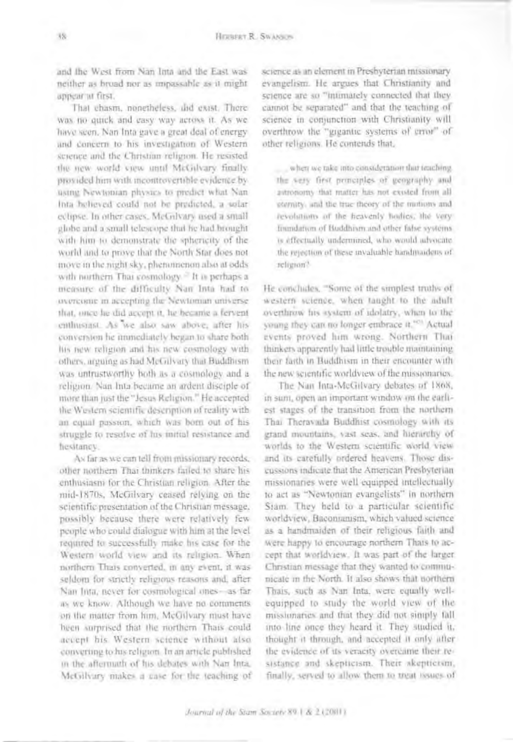and the West from Nan Inta and the East was neither as broad nor as impassable as it might appear at first.

That chasm, nonetheless, and exist. There was no quick and easy way across it. As we have seen. Nan Inta gave a great deal of energy and concern to his investigation of Western science and the Christian religion. He resisted the new world view until McGilvary finally. provided him with incontrovertible evidence by using Newtonian physics to predict what Nan-Inta helieved could not be predicted, a solar eclipse. In other cases. McGulvary used a small globe and a small telescope that he had brought with him to demonstrate the sphericity of the world and to prove that the North Star does not move in the night sky, phenomenon also at odds with northern Thai cosmology.<sup>27</sup> It is perhaps a measure of the difficulty Nan Inta had to overcome in accepting the Newtoman universe that, once he did accept it, he became a fervent enthusiast. As we also saw above, after his conversion he immediately began to share both his new religion and his new cosmology with others, arguing as had McGilvary that Buddhism was untrustworthy both as a cosmology and a religion. Nan Inta became an ardent disciple of more than just the "Jesus Religion." He accepted the Western scientific desermion of reality with an equal passion, which was born out of his struggle to resulve of his initial resistance and hesitaney.

As far as we can tell from missionary records, other northern Thai thinkers failed to share his enthusiasm for the Christian religion. After the mid-1870s, McGilvary ceased relying on the scientific presentation of the Christian message, possibly because there were relatively fewpeople who could dialogue with him at the level required to successfully make his case for the Western world view and its religion. When northern Thats converted, in any event, it was seldom for strictly religious reasons and, after Nan Inta, never for cosmological ones-as far as we know. Although we have no comments on the matter from him, McGilvary must have been surprised that the northern Thais could accept his Western science without also converting to his religion. In an article published in the aftermath of his debates with Nan Inta, McGilvary makes a case for the teaching of science as an element in Presbyterian missionary evangelism. He argues that Christianity and science are so "intimately connected that they cannot be separated" and that the teaching of science in comunction with Christianity will overthrow the "gigantic systems of error" of other religions. He contends that,

when we take into consideration that inaching the very first proteiples of geography and astronomy that matter has not exosted from all eternity, and the true theory of the motions and revolutions of the heavenly hodies; the very foundation of Buddhism and other false systems. is effectually undermined, who would advocate. the rejection of these myaluable handmaidens of refreron?

He concludes, "Some of the simplest truths of western science, when taught to the adult overthrow his system of idolatry, when to the young they can no longer embrace it."<sup>27</sup> Actual events proved him wrong. Northern Thai thinkers apparently had little trouble maintaining. their fasth in Buddhism in their encounter with the new scientific worldview of the missionaries.

The Nan Inta-McGilvary debates of 1868, in sunt, open an important window on the earliest stages of the transition from the northern Thai Theravisda Buddhist cosmology with its grand mountains, vast seas, and hierarchy of worlds to the Western scientific world viewand its catefully ordered heavens. Those discussions indicate that the American Presbyterian missionaries were well equipped intellectually to act as "Newtonian evangelists" in northern Stam. They held to a particular scientific worldview. Baconianism, which valued science as a handmaiden of their religious faith and were happy to encourage northern Thats to accept that worldview. It was part of the larger Christian message that they wanted to communicate in the North. It also shows that northern Thais, such as Nan Inta, were equally wellequipped to study the world view of the missionaries and that they did not simply fall into line once they heard it. They studied it, thought it through, and accepted it only after the evidence of its veracity overcame their resistance and skepticism. Their akepticism, finally, served to allow them to treat issues of